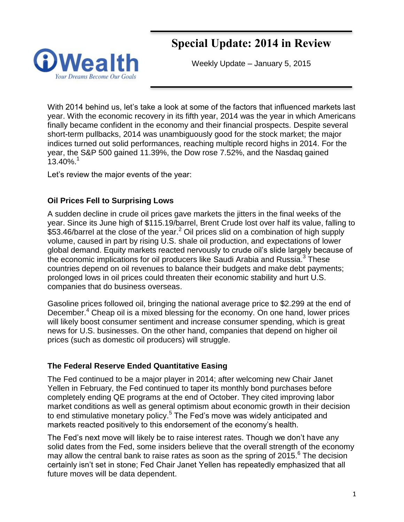# **Special Update: 2014 in Review**



Weekly Update – January 5, 2015

With 2014 behind us, let's take a look at some of the factors that influenced markets last year. With the economic recovery in its fifth year, 2014 was the year in which Americans finally became confident in the economy and their financial prospects. Despite several short-term pullbacks, 2014 was unambiguously good for the stock market; the major indices turned out solid performances, reaching multiple record highs in 2014. For the year, the S&P 500 gained 11.39%, the Dow rose 7.52%, and the Nasdaq gained  $13.40\%$ <sup>1</sup>

Let's review the major events of the year:

#### **Oil Prices Fell to Surprising Lows**

A sudden decline in crude oil prices gave markets the jitters in the final weeks of the year. Since its June high of \$115.19/barrel, Brent Crude lost over half its value, falling to \$53.46/barrel at the close of the year.<sup>2</sup> Oil prices slid on a combination of high supply volume, caused in part by rising U.S. shale oil production, and expectations of lower global demand. Equity markets reacted nervously to crude oil's slide largely because of the economic implications for oil producers like Saudi Arabia and Russia.<sup>3</sup> These countries depend on oil revenues to balance their budgets and make debt payments; prolonged lows in oil prices could threaten their economic stability and hurt U.S. companies that do business overseas.

Gasoline prices followed oil, bringing the national average price to \$2.299 at the end of December.<sup>4</sup> Cheap oil is a mixed blessing for the economy. On one hand, lower prices will likely boost consumer sentiment and increase consumer spending, which is great news for U.S. businesses. On the other hand, companies that depend on higher oil prices (such as domestic oil producers) will struggle.

### **The Federal Reserve Ended Quantitative Easing**

The Fed continued to be a major player in 2014; after welcoming new Chair Janet Yellen in February, the Fed continued to taper its monthly bond purchases before completely ending QE programs at the end of October. They cited improving labor market conditions as well as general optimism about economic growth in their decision to end stimulative monetary policy.<sup>5</sup> The Fed's move was widely anticipated and markets reacted positively to this endorsement of the economy's health.

The Fed's next move will likely be to raise interest rates. Though we don't have any solid dates from the Fed, some insiders believe that the overall strength of the economy may allow the central bank to raise rates as soon as the spring of 2015. $^6$  The decision certainly isn't set in stone; Fed Chair Janet Yellen has repeatedly emphasized that all future moves will be data dependent.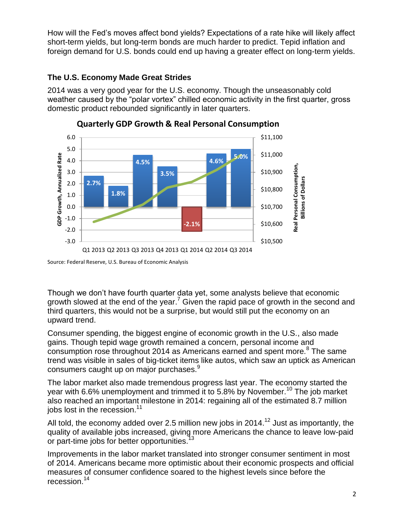How will the Fed's moves affect bond yields? Expectations of a rate hike will likely affect short-term yields, but long-term bonds are much harder to predict. Tepid inflation and foreign demand for U.S. bonds could end up having a greater effect on long-term yields.

## **The U.S. Economy Made Great Strides**

2014 was a very good year for the U.S. economy. Though the unseasonably cold weather caused by the "polar vortex" chilled economic activity in the first quarter, gross domestic product rebounded significantly in later quarters.





Source: Federal Reserve, U.S. Bureau of Economic Analysis

Though we don't have fourth quarter data yet, some analysts believe that economic growth slowed at the end of the year.<sup>7</sup> Given the rapid pace of growth in the second and third quarters, this would not be a surprise, but would still put the economy on an upward trend.

Consumer spending, the biggest engine of economic growth in the U.S., also made gains. Though tepid wage growth remained a concern, personal income and consumption rose throughout 2014 as Americans earned and spent more.<sup>8</sup> The same trend was visible in sales of big-ticket items like autos, which saw an uptick as American consumers caught up on major purchases.<sup>9</sup>

The labor market also made tremendous progress last year. The economy started the year with 6.6% unemployment and trimmed it to 5.8% by November.<sup>10</sup> The job market also reached an important milestone in 2014: regaining all of the estimated 8.7 million jobs lost in the recession.<sup>11</sup>

All told, the economy added over 2.5 million new jobs in  $2014.<sup>12</sup>$  Just as importantly, the quality of available jobs increased, giving more Americans the chance to leave low-paid or part-time jobs for better opportunities.<sup>13</sup>

Improvements in the labor market translated into stronger consumer sentiment in most of 2014. Americans became more optimistic about their economic prospects and official measures of consumer confidence soared to the highest levels since before the recession.<sup>14</sup>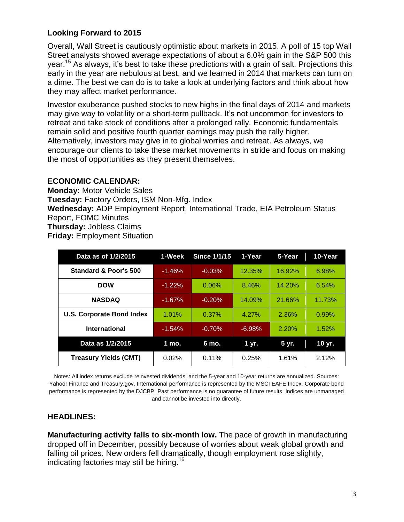### **Looking Forward to 2015**

Overall, Wall Street is cautiously optimistic about markets in 2015. A poll of 15 top Wall Street analysts showed average expectations of about a 6.0% gain in the S&P 500 this year. <sup>15</sup> As always, it's best to take these predictions with a grain of salt. Projections this early in the year are nebulous at best, and we learned in 2014 that markets can turn on a dime. The best we can do is to take a look at underlying factors and think about how they may affect market performance.

Investor exuberance pushed stocks to new highs in the final days of 2014 and markets may give way to volatility or a short-term pullback. It's not uncommon for investors to retreat and take stock of conditions after a prolonged rally. Economic fundamentals remain solid and positive fourth quarter earnings may push the rally higher. Alternatively, investors may give in to global worries and retreat. As always, we encourage our clients to take these market movements in stride and focus on making the most of opportunities as they present themselves.

#### **ECONOMIC CALENDAR:**

**Monday:** Motor Vehicle Sales **Tuesday:** Factory Orders, ISM Non-Mfg. Index **Wednesday:** ADP Employment Report, International Trade, EIA Petroleum Status Report, FOMC Minutes **Thursday:** Jobless Claims **Friday:** Employment Situation

| Data as of 1/2/2015              | 1-Week   | <b>Since 1/1/15</b> | 1-Year   | 5-Year | 10-Year |
|----------------------------------|----------|---------------------|----------|--------|---------|
| Standard & Poor's 500            | $-1.46%$ | $-0.03%$            | 12.35%   | 16.92% | 6.98%   |
| <b>DOW</b>                       | $-1.22%$ | 0.06%               | 8.46%    | 14.20% | 6.54%   |
| <b>NASDAQ</b>                    | $-1.67%$ | $-0.20%$            | 14.09%   | 21.66% | 11.73%  |
| <b>U.S. Corporate Bond Index</b> | 1.01%    | 0.37%               | 4.27%    | 2.36%  | 0.99%   |
| <b>International</b>             | $-1.54%$ | $-0.70%$            | $-6.98%$ | 2.20%  | 1.52%   |
| Data as 1/2/2015                 | 1 mo.    | 6 mo.               | 1 yr.    | 5 yr.  | 10 yr.  |
| <b>Treasury Yields (CMT)</b>     | 0.02%    | 0.11%               | 0.25%    | 1.61%  | 2.12%   |

Notes: All index returns exclude reinvested dividends, and the 5-year and 10-year returns are annualized. Sources: Yahoo! Finance and [Treasury.gov.](http://treasury.gov/) International performance is represented by the MSCI EAFE Index. Corporate bond performance is represented by the DJCBP. Past performance is no guarantee of future results. Indices are unmanaged and cannot be invested into directly.

#### **HEADLINES:**

**Manufacturing activity falls to six-month low.** The pace of growth in manufacturing dropped off in December, possibly because of worries about weak global growth and falling oil prices. New orders fell dramatically, though employment rose slightly, indicating factories may still be hiring. 16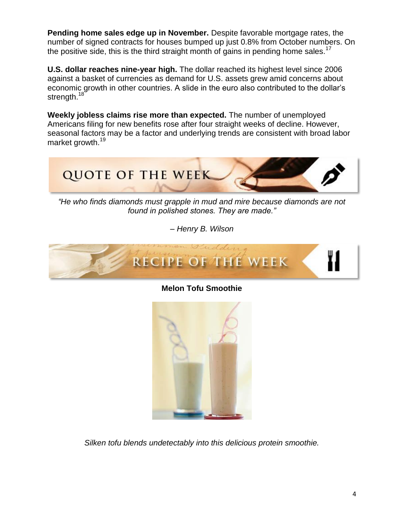**Pending home sales edge up in November.** Despite favorable mortgage rates, the number of signed contracts for houses bumped up just 0.8% from October numbers. On the positive side, this is the third straight month of gains in pending home sales.<sup>17</sup>

**U.S. dollar reaches nine-year high.** The dollar reached its highest level since 2006 against a basket of currencies as demand for U.S. assets grew amid concerns about economic growth in other countries. A slide in the euro also contributed to the dollar's strength.<sup>18</sup>

**Weekly jobless claims rise more than expected.** The number of unemployed Americans filing for new benefits rose after four straight weeks of decline. However, seasonal factors may be a factor and underlying trends are consistent with broad labor market growth.<sup>19</sup>



*"He who finds diamonds must grapple in mud and mire because diamonds are not found in polished stones. They are made."* 

*– Henry B. Wilson*



**Melon Tofu Smoothie**



*Silken tofu blends undetectably into this delicious protein smoothie.*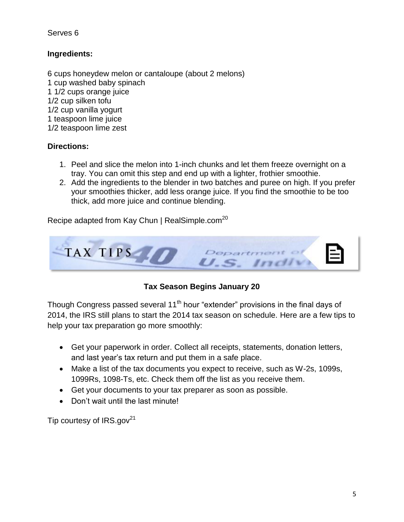Serves 6

## **Ingredients:**

6 cups honeydew melon or cantaloupe (about 2 melons) 1 cup washed baby spinach 1 1/2 cups orange juice 1/2 cup silken tofu 1/2 cup vanilla yogurt 1 teaspoon lime juice 1/2 teaspoon lime zest

## **Directions:**

- 1. Peel and slice the melon into 1-inch chunks and let them freeze overnight on a tray. You can omit this step and end up with a lighter, frothier smoothie.
- 2. Add the ingredients to the blender in two batches and puree on high. If you prefer your smoothies thicker, add less orange juice. If you find the smoothie to be too thick, add more juice and continue blending.

Recipe adapted from Kay Chun | RealSimple.com<sup>20</sup>

TAX TIPS  $U.S.$  Indiv

# **Tax Season Begins January 20**

Though Congress passed several 11<sup>th</sup> hour "extender" provisions in the final days of 2014, the IRS still plans to start the 2014 tax season on schedule. Here are a few tips to help your tax preparation go more smoothly:

- Get your paperwork in order. Collect all receipts, statements, donation letters, and last year's tax return and put them in a safe place.
- Make a list of the tax documents you expect to receive, such as W-2s, 1099s, 1099Rs, 1098-Ts, etc. Check them off the list as you receive them.
- Get your documents to your tax preparer as soon as possible.
- Don't wait until the last minute!

Tip courtesy of  $IRS.gov<sup>21</sup>$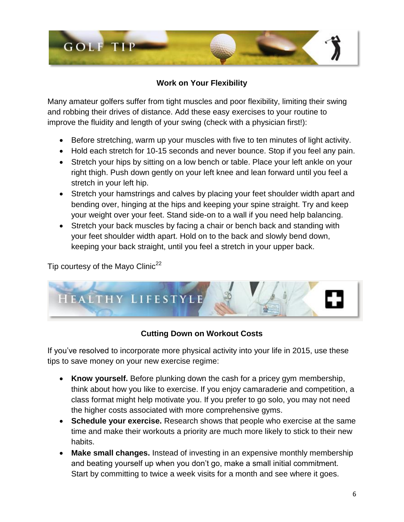

# **Work on Your Flexibility**

Many amateur golfers suffer from tight muscles and poor flexibility, limiting their swing and robbing their drives of distance. Add these easy exercises to your routine to improve the fluidity and length of your swing (check with a physician first!):

- Before stretching, warm up your muscles with five to ten minutes of light activity.
- Hold each stretch for 10-15 seconds and never bounce. Stop if you feel any pain.
- Stretch your hips by sitting on a low bench or table. Place your left ankle on your right thigh. Push down gently on your left knee and lean forward until you feel a stretch in your left hip.
- Stretch your hamstrings and calves by placing your feet shoulder width apart and bending over, hinging at the hips and keeping your spine straight. Try and keep your weight over your feet. Stand side-on to a wall if you need help balancing.
- Stretch your back muscles by facing a chair or bench back and standing with your feet shoulder width apart. Hold on to the back and slowly bend down, keeping your back straight, until you feel a stretch in your upper back.

Tip courtesy of the Mayo Clinic<sup>22</sup>



# **Cutting Down on Workout Costs**

If you've resolved to incorporate more physical activity into your life in 2015, use these tips to save money on your new exercise regime:

- **Know yourself.** Before plunking down the cash for a pricey gym membership, think about how you like to exercise. If you enjoy camaraderie and competition, a class format might help motivate you. If you prefer to go solo, you may not need the higher costs associated with more comprehensive gyms.
- **Schedule your exercise.** Research shows that people who exercise at the same time and make their workouts a priority are much more likely to stick to their new habits.
- **Make small changes.** Instead of investing in an expensive monthly membership and beating yourself up when you don't go, make a small initial commitment. Start by committing to twice a week visits for a month and see where it goes.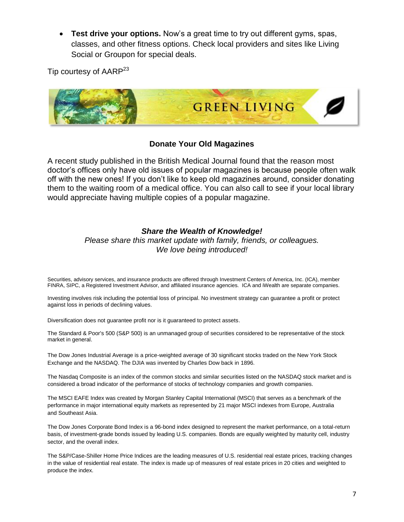**Test drive your options.** Now's a great time to try out different gyms, spas, classes, and other fitness options. Check local providers and sites like Living Social or Groupon for special deals.

Tip courtesy of AARP<sup>23</sup>



#### **Donate Your Old Magazines**

A recent study published in the British Medical Journal found that the reason most doctor's offices only have old issues of popular magazines is because people often walk off with the new ones! If you don't like to keep old magazines around, consider donating them to the waiting room of a medical office. You can also call to see if your local library would appreciate having multiple copies of a popular magazine.

#### *Share the Wealth of Knowledge!*

*Please share this market update with family, friends, or colleagues. We love being introduced!*

Securities, advisory services, and insurance products are offered through Investment Centers of America, Inc. (ICA), member FINRA, SIPC, a Registered Investment Advisor, and affiliated insurance agencies. ICA and iWealth are separate companies.

Investing involves risk including the potential loss of principal. No investment strategy can guarantee a profit or protect against loss in periods of declining values.

Diversification does not guarantee profit nor is it guaranteed to protect assets.

The Standard & Poor's 500 (S&P 500) is an unmanaged group of securities considered to be representative of the stock market in general.

The Dow Jones Industrial Average is a price-weighted average of 30 significant stocks traded on the New York Stock Exchange and the NASDAQ. The DJIA was invented by Charles Dow back in 1896.

The Nasdaq Composite is an index of the common stocks and similar securities listed on the NASDAQ stock market and is considered a broad indicator of the performance of stocks of technology companies and growth companies.

The MSCI EAFE Index was created by Morgan Stanley Capital International (MSCI) that serves as a benchmark of the performance in major international equity markets as represented by 21 major MSCI indexes from Europe, Australia and Southeast Asia.

The Dow Jones Corporate Bond Index is a 96-bond index designed to represent the market performance, on a total-return basis, of investment-grade bonds issued by leading U.S. companies. Bonds are equally weighted by maturity cell, industry sector, and the overall index.

The S&P/Case-Shiller Home Price Indices are the leading measures of U.S. residential real estate prices, tracking changes in the value of residential real estate. The index is made up of measures of real estate prices in 20 cities and weighted to produce the index.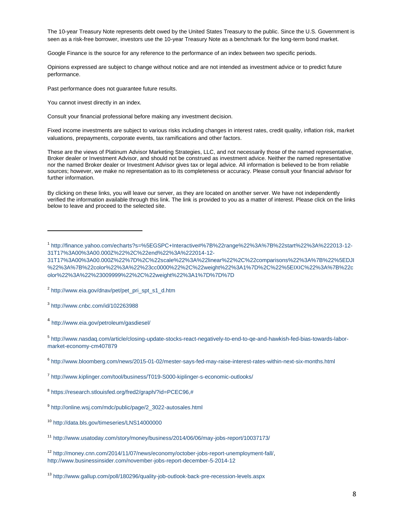The 10-year Treasury Note represents debt owed by the United States Treasury to the public. Since the U.S. Government is seen as a risk-free borrower, investors use the 10-year Treasury Note as a benchmark for the long-term bond market.

Google Finance is the source for any reference to the performance of an index between two specific periods.

Opinions expressed are subject to change without notice and are not intended as investment advice or to predict future performance.

Past performance does not guarantee future results.

You cannot invest directly in an index.

Consult your financial professional before making any investment decision.

Fixed income investments are subject to various risks including changes in interest rates, credit quality, inflation risk, market valuations, prepayments, corporate events, tax ramifications and other factors.

These are the views of Platinum Advisor Marketing Strategies, LLC, and not necessarily those of the named representative, Broker dealer or Investment Advisor, and should not be construed as investment advice. Neither the named representative nor the named Broker dealer or Investment Advisor gives tax or legal advice. All information is believed to be from reliable sources; however, we make no representation as to its completeness or accuracy. Please consult your financial advisor for further information.

By clicking on these links, you will leave our server, as they are located on another server. We have not independently verified the information available through this link. The link is provided to you as a matter of interest. Please click on the links below to leave and proceed to the selected site.

2 [http://www.eia.gov/dnav/pet/pet\\_pri\\_spt\\_s1\\_d.htm](http://www.eia.gov/dnav/pet/pet_pri_spt_s1_d.htm)

3 <http://www.cnbc.com/id/102263988>

l

4 <http://www.eia.gov/petroleum/gasdiesel/>

5 [http://www.nasdaq.com/article/closing-update-stocks-react-negatively-to-end-to-qe-and-hawkish-fed-bias-towards-labor](http://www.nasdaq.com/article/closing-update-stocks-react-negatively-to-end-to-qe-and-hawkish-fed-bias-towards-labor-market-economy-cm407879)[market-economy-cm407879](http://www.nasdaq.com/article/closing-update-stocks-react-negatively-to-end-to-qe-and-hawkish-fed-bias-towards-labor-market-economy-cm407879)

6 <http://www.bloomberg.com/news/2015-01-02/mester-says-fed-may-raise-interest-rates-within-next-six-months.html>

<sup>7</sup> <http://www.kiplinger.com/tool/business/T019-S000-kiplinger-s-economic-outlooks/>

<sup>1</sup> [http://finance.yahoo.com/echarts?s=%5EGSPC+Interactive#%7B%22range%22%3A%7B%22start%22%3A%222013-12-](http://finance.yahoo.com/echarts?s=%5EGSPC+Interactive#%7B%22range%22%3A%7B%22start%22%3A%222013-12-31T17%3A00%3A00.000Z%22%2C%22end%22%3A%222014-12-31T17%3A00%3A00.000Z%22%7D%2C%22scale%22%3A%22linear%22%2C%22comparisons%22%3A%7B%22%5EDJI%22%3A%7B%22color%22%3A%22%23cc0000%22%2C%22weight%22%3A1%7D%2C%22%5EIX) [31T17%3A00%3A00.000Z%22%2C%22end%22%3A%222014-12-](http://finance.yahoo.com/echarts?s=%5EGSPC+Interactive#%7B%22range%22%3A%7B%22start%22%3A%222013-12-31T17%3A00%3A00.000Z%22%2C%22end%22%3A%222014-12-31T17%3A00%3A00.000Z%22%7D%2C%22scale%22%3A%22linear%22%2C%22comparisons%22%3A%7B%22%5EDJI%22%3A%7B%22color%22%3A%22%23cc0000%22%2C%22weight%22%3A1%7D%2C%22%5EIX)

[<sup>31</sup>T17%3A00%3A00.000Z%22%7D%2C%22scale%22%3A%22linear%22%2C%22comparisons%22%3A%7B%22%5EDJI](http://finance.yahoo.com/echarts?s=%5EGSPC+Interactive#%7B%22range%22%3A%7B%22start%22%3A%222013-12-31T17%3A00%3A00.000Z%22%2C%22end%22%3A%222014-12-31T17%3A00%3A00.000Z%22%7D%2C%22scale%22%3A%22linear%22%2C%22comparisons%22%3A%7B%22%5EDJI%22%3A%7B%22color%22%3A%22%23cc0000%22%2C%22weight%22%3A1%7D%2C%22%5EIX) [%22%3A%7B%22color%22%3A%22%23cc0000%22%2C%22weight%22%3A1%7D%2C%22%5EIXIC%22%3A%7B%22c](http://finance.yahoo.com/echarts?s=%5EGSPC+Interactive#%7B%22range%22%3A%7B%22start%22%3A%222013-12-31T17%3A00%3A00.000Z%22%2C%22end%22%3A%222014-12-31T17%3A00%3A00.000Z%22%7D%2C%22scale%22%3A%22linear%22%2C%22comparisons%22%3A%7B%22%5EDJI%22%3A%7B%22color%22%3A%22%23cc0000%22%2C%22weight%22%3A1%7D%2C%22%5EIX) [olor%22%3A%22%23009999%22%2C%22weight%22%3A1%7D%7D%7D](http://finance.yahoo.com/echarts?s=%5EGSPC+Interactive#%7B%22range%22%3A%7B%22start%22%3A%222013-12-31T17%3A00%3A00.000Z%22%2C%22end%22%3A%222014-12-31T17%3A00%3A00.000Z%22%7D%2C%22scale%22%3A%22linear%22%2C%22comparisons%22%3A%7B%22%5EDJI%22%3A%7B%22color%22%3A%22%23cc0000%22%2C%22weight%22%3A1%7D%2C%22%5EIX)

<sup>&</sup>lt;sup>8</sup> [https://research.stlouisfed.org/fred2/graph/?id=PCEC96,#](https://research.stlouisfed.org/fred2/graph/?id=PCEC96,)

<sup>&</sup>lt;sup>9</sup> [http://online.wsj.com/mdc/public/page/2\\_3022-autosales.html](http://online.wsj.com/mdc/public/page/2_3022-autosales.html)

<sup>10</sup> <http://data.bls.gov/timeseries/LNS14000000>

<sup>11</sup> <http://www.usatoday.com/story/money/business/2014/06/06/may-jobs-report/10037173/>

<sup>12</sup> [http://money.cnn.com/2014/11/07/news/economy/october-jobs-report-unemployment-fall/,](http://money.cnn.com/2014/11/07/news/economy/october-jobs-report-unemployment-fall/) <http://www.businessinsider.com/november-jobs-report-december-5-2014-12>

<sup>13</sup> <http://www.gallup.com/poll/180296/quality-job-outlook-back-pre-recession-levels.aspx>